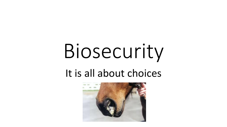# Biosecurity

### It is all about choices

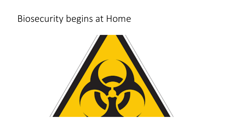#### Biosecurity begins at Home

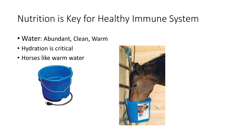#### Nutrition is Key for Healthy Immune System

- Water: Abundant, Clean, Warm
- Hydration is critical
- Horses like warm water



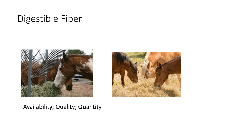#### Digestible Fiber





#### Availability; Quality; Quantity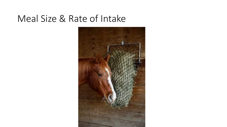#### Meal Size & Rate of Intake

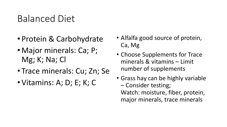#### Balanced Diet

- Protein & Carbohydrate
- Major minerals: Ca; P; Mg; K; Na; Cl
- Trace minerals: Cu; Zn; Se
- Vitamins: A; D; E; K; C
- Alfalfa good source of protein, Ca, Mg
- Choose Supplements for Trace minerals & vitamins – Limit number of supplements
- Grass hay can be highly variable – Consider testing; Watch: moisture, fiber, protein, major minerals, trace minerals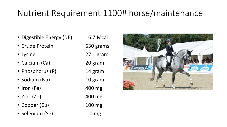#### Nutrient Requirement 1100# horse/maintenance

- Digestible Energy (DE) 16.7 Mcal
- Crude Protein 630 grams
- 
- Calcium (Ca) 20 gram
- Phosphorus (P) 14 gram
- Sodium (Na) 10 gram
- Iron (Fe) 400 mg
- Zinc (Zn) 400 mg
- Copper (Cu) 100 mg
- Selenium (Se) 1.0 mg

• Lysine 27.1 gram

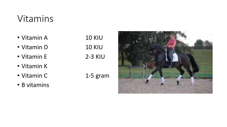#### Vitamins

- Vitamin A 10 KIU
- Vitamin D 10 KIU
- Vitamin E 2-3 KIU
- Vitamin K
- Vitamin C 1-5 gram
- B vitamins

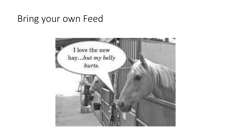#### Bring your own Feed

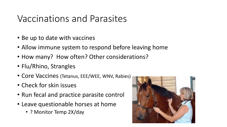#### Vaccinations and Parasites

- Be up to date with vaccines
- Allow immune system to respond before leaving home
- How many? How often? Other considerations?
- Flu/Rhino, Strangles
- Core Vaccines (Tetanus, EEE/WEE, WNV, Rabies)
- Check for skin issues
- Run fecal and practice parasite control
- Leave questionable horses at home
	- ? Monitor Temp 2X/day

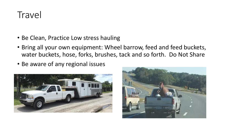#### **Travel**

- Be Clean, Practice Low stress hauling
- Bring all your own equipment: Wheel barrow, feed and feed buckets, water buckets, hose, forks, brushes, tack and so forth. Do Not Share
- Be aware of any regional issues



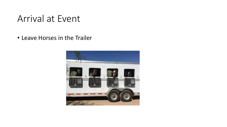#### Arrival at Event

• Leave Horses in the Trailer

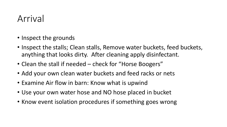#### Arrival

- Inspect the grounds
- Inspect the stalls; Clean stalls, Remove water buckets, feed buckets, anything that looks dirty. After cleaning apply disinfectant.
- Clean the stall if needed check for "Horse Boogers"
- Add your own clean water buckets and feed racks or nets
- Examine Air flow in barn: Know what is upwind
- Use your own water hose and NO hose placed in bucket
- Know event isolation procedures if something goes wrong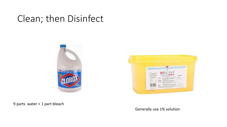#### Clean; then Disinfect





9 parts water + 1 part bleach

Generally use 1% solution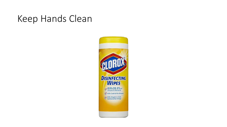#### Keep Hands Clean

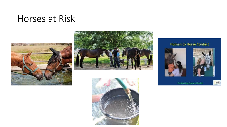#### Horses at Risk







#### Human to Horse Contact





cdfa

Protecting Equine Health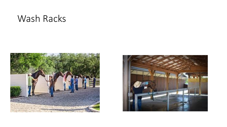#### Wash Racks



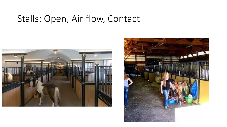#### Stalls: Open, Air flow, Contact



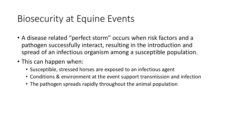#### Biosecurity at Equine Events

- A disease related "perfect storm" occurs when risk factors and a pathogen successfully interact, resulting in the introduction and spread of an infectious organism among a susceptible population.
- This can happen when:
	- Susceptible, stressed horses are exposed to an infectious agent
	- Conditions & environment at the event support transmission and infection
	- The pathogen spreads rapidly throughout the animal population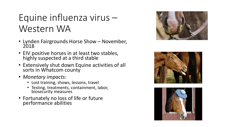## Equine influenza virus – Western WA

- Lynden Fairgrounds Horse Show November, 2018
- EIV positive horses in at least two stables, highly suspected at a third stable
- Extensively shut down Equine activities of all sorts in Whatcom county
- *Monetary impacts:*
	- Lost training, shows, lessons, travel
	- Testing, treatments, containment, labor, biosecurity measures
- Fortunately no loss of life or future performance abilities





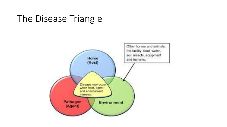#### The Disease Triangle

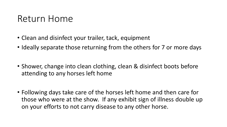#### Return Home

- Clean and disinfect your trailer, tack, equipment
- Ideally separate those returning from the others for 7 or more days
- Shower, change into clean clothing, clean & disinfect boots before attending to any horses left home
- Following days take care of the horses left home and then care for those who were at the show. If any exhibit sign of illness double up on your efforts to not carry disease to any other horse.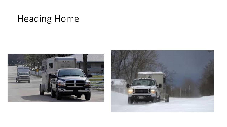## Heading Home



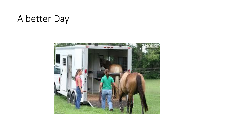#### A better Day